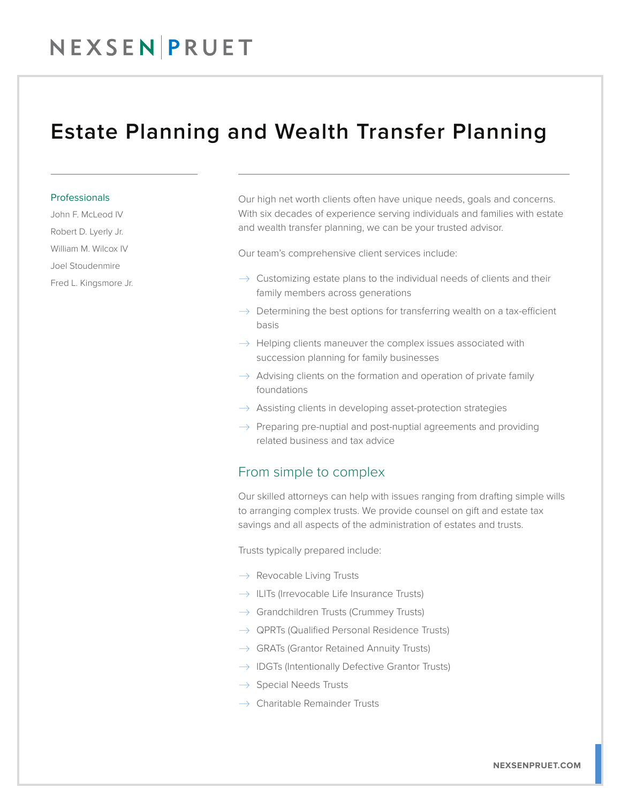## NEXSENPRUET

### Estate Planning and Wealth Transfer Planning

#### **Professionals**

John F. McLeod IV Robert D. Lyerly Jr. William M. Wilcox IV Joel Stoudenmire Fred L. Kingsmore Jr. Our high net worth clients often have unique needs, goals and concerns. With six decades of experience serving individuals and families with estate and wealth transfer planning, we can be your trusted advisor.

Our team's comprehensive client services include:

- $\rightarrow$  Customizing estate plans to the individual needs of clients and their family members across generations
- $\rightarrow$  Determining the best options for transferring wealth on a tax-efficient basis
- $\rightarrow$  Helping clients maneuver the complex issues associated with succession planning for family businesses
- $\rightarrow$  Advising clients on the formation and operation of private family foundations
- $\rightarrow$  Assisting clients in developing asset-protection strategies
- $\rightarrow$  Preparing pre-nuptial and post-nuptial agreements and providing related business and tax advice

### From simple to complex

Our skilled attorneys can help with issues ranging from drafting simple wills to arranging complex trusts. We provide counsel on gift and estate tax savings and all aspects of the administration of estates and trusts.

Trusts typically prepared include:

- $\rightarrow$  Revocable Living Trusts
- $\rightarrow$  ILITs (Irrevocable Life Insurance Trusts)
- $\rightarrow$  Grandchildren Trusts (Crummey Trusts)
- $\rightarrow$  QPRTs (Qualified Personal Residence Trusts)
- $\rightarrow$  GRATs (Grantor Retained Annuity Trusts)
- $\rightarrow$  IDGTs (Intentionally Defective Grantor Trusts)
- $\rightarrow$  Special Needs Trusts
- $\rightarrow$  Charitable Remainder Trusts